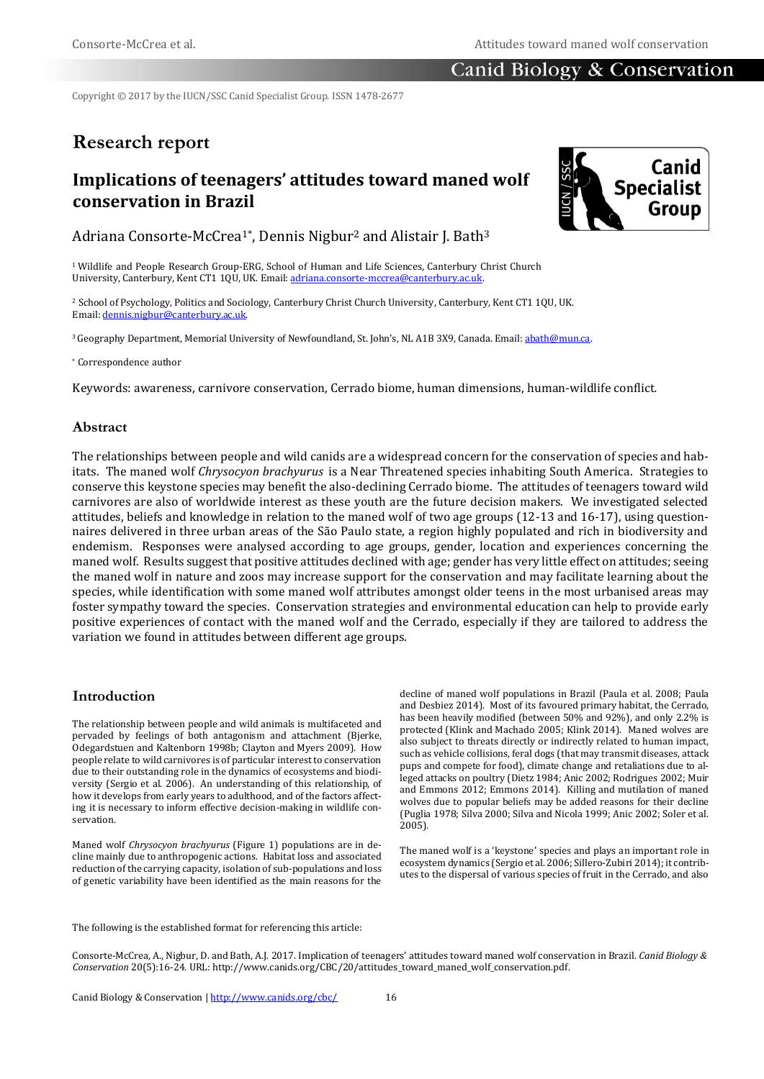# Canid Biology & Conservation

Copyright © 2017 by the IUCN/SSC Canid Specialist Group. ISSN 1478-2677

# **Research report**

# **Implications of teenagers' attitudes toward maned wolf conservation in Brazil**



Adriana Consorte-McCrea<sup>1\*</sup>, Dennis Nigbur<sup>2</sup> and Alistair J. Bath<sup>3</sup>

<sup>1</sup> Wildlife and People Research Group-ERG, School of Human and Life Sciences, Canterbury Christ Church University, Canterbury, Kent CT1 1QU, UK. Email[: adriana.consorte-mccrea@canterbury.ac.uk.](mailto:adriana.consorte-mccrea@canterbury.ac.uk)

<sup>2</sup> School of Psychology, Politics and Sociology, Canterbury Christ Church University, Canterbury, Kent CT1 1QU, UK. Email[: dennis.nigbur@canterbury.ac.uk.](mailto:dennis.nigbur@canterbury.ac.uk)

<sup>3</sup>Geography Department, Memorial University of Newfoundland, St. John's, NL A1B 3X9, Canada. Email[: abath@mun.ca.](mailto:abath@mun.ca)

\* Correspondence author

Keywords: awareness, carnivore conservation, Cerrado biome, human dimensions, human-wildlife conflict*.*

### **Abstract**

The relationships between people and wild canids are a widespread concern for the conservation of species and habitats. The maned wolf *Chrysocyon brachyurus* is a Near Threatened species inhabiting South America. Strategies to conserve this keystone species may benefit the also-declining Cerrado biome. The attitudes of teenagers toward wild carnivores are also of worldwide interest as these youth are the future decision makers. We investigated selected attitudes, beliefs and knowledge in relation to the maned wolf of two age groups (12-13 and 16-17), using questionnaires delivered in three urban areas of the São Paulo state, a region highly populated and rich in biodiversity and endemism. Responses were analysed according to age groups, gender, location and experiences concerning the maned wolf. Results suggest that positive attitudes declined with age; gender has very little effect on attitudes; seeing the maned wolf in nature and zoos may increase support for the conservation and may facilitate learning about the species, while identification with some maned wolf attributes amongst older teens in the most urbanised areas may foster sympathy toward the species. Conservation strategies and environmental education can help to provide early positive experiences of contact with the maned wolf and the Cerrado, especially if they are tailored to address the variation we found in attitudes between different age groups.

# **Introduction**

The relationship between people and wild animals is multifaceted and pervaded by feelings of both antagonism and attachment (Bjerke, Odegardstuen and Kaltenborn 1998b; Clayton and Myers 2009). How people relate to wild carnivores is of particular interest to conservation due to their outstanding role in the dynamics of ecosystems and biodiversity (Sergio et al. 2006). An understanding of this relationship, of how it develops from early years to adulthood, and of the factors affecting it is necessary to inform effective decision-making in wildlife conservation.

Maned wolf *Chrysocyon brachyurus* (Figure 1) populations are in decline mainly due to anthropogenic actions. Habitat loss and associated reduction of the carrying capacity, isolation of sub-populations and loss of genetic variability have been identified as the main reasons for the

decline of maned wolf populations in Brazil (Paula et al. 2008; Paula and Desbiez 2014). Most of its favoured primary habitat, the Cerrado, has been heavily modified (between 50% and 92%), and only 2.2% is protected (Klink and Machado 2005; Klink 2014). Maned wolves are also subject to threats directly or indirectly related to human impact, such as vehicle collisions, feral dogs (that may transmit diseases, attack pups and compete for food), climate change and retaliations due to alleged attacks on poultry (Dietz 1984; Anic 2002; Rodrigues 2002; Muir and Emmons 2012; Emmons 2014). Killing and mutilation of maned wolves due to popular beliefs may be added reasons for their decline (Puglia 1978; Silva 2000; Silva and Nicola 1999; Anic 2002; Soler et al. 2005).

The maned wolf is a 'keystone' species and plays an important role in ecosystem dynamics (Sergio et al. 2006; Sillero-Zubiri 2014); it contributes to the dispersal of various species of fruit in the Cerrado, and also

The following is the established format for referencing this article:

Consorte-McCrea, A., Nigbur, D. and Bath, A.J. 2017. Implication of teenagers' attitudes toward maned wolf conservation in Brazil. *Canid Biology & Conservation* 20(5):16-24. URL: http://www.canids.org/CBC/20/attitudes\_toward\_maned\_wolf\_conservation.pdf.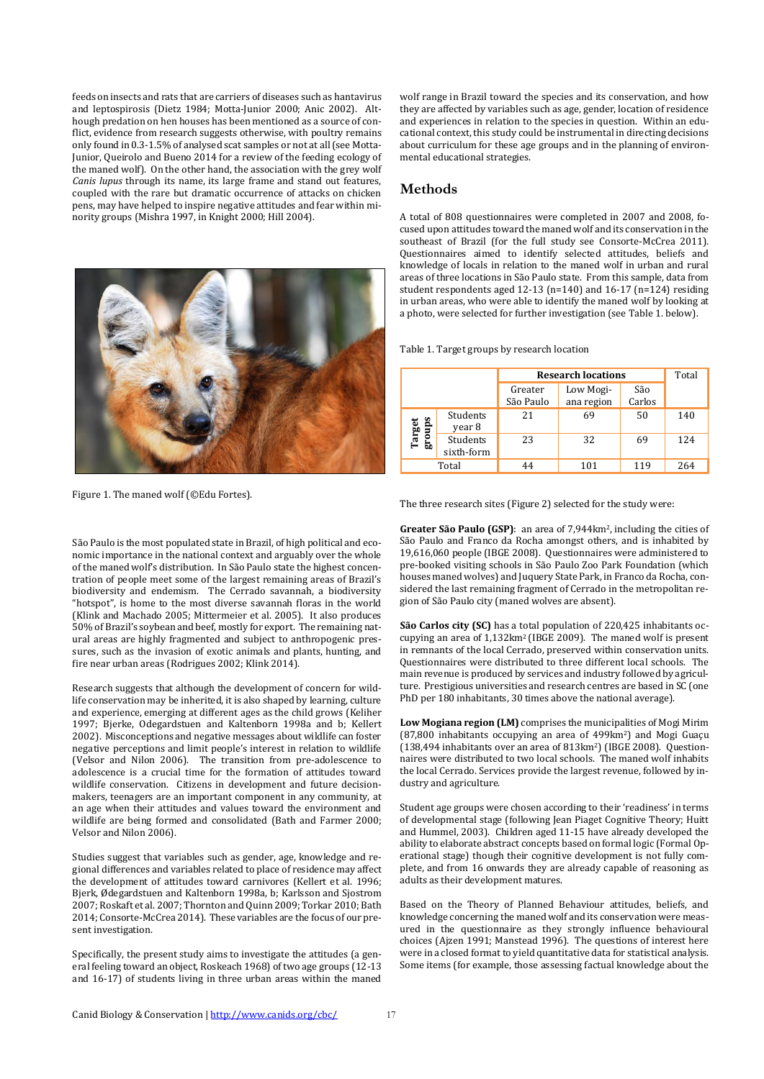feeds on insects and rats that are carriers of diseases such as hantavirus and leptospirosis (Dietz 1984; Motta-Junior 2000; Anic 2002). Although predation on hen houses has been mentioned as a source of conflict, evidence from research suggests otherwise, with poultry remains only found in 0.3-1.5% of analysed scat samples or not at all (see Motta-Junior, Queirolo and Bueno 2014 for a review of the feeding ecology of the maned wolf). On the other hand, the association with the grey wolf *Canis lupus* through its name, its large frame and stand out features, coupled with the rare but dramatic occurrence of attacks on chicken pens, may have helped to inspire negative attitudes and fear within minority groups (Mishra 1997, in Knight 2000; Hill 2004).



Figure 1. The maned wolf (©Edu Fortes).

São Paulo is the most populated state in Brazil, of high political and economic importance in the national context and arguably over the whole of the maned wolf's distribution. In São Paulo state the highest concentration of people meet some of the largest remaining areas of Brazil's biodiversity and endemism. The Cerrado savannah, a biodiversity "hotspot", is home to the most diverse savannah floras in the world (Klink and Machado 2005; Mittermeier et al. 2005). It also produces 50% of Brazil's soybean and beef, mostly for export. The remaining natural areas are highly fragmented and subject to anthropogenic pressures, such as the invasion of exotic animals and plants, hunting, and fire near urban areas (Rodrigues 2002; Klink 2014).

Research suggests that although the development of concern for wildlife conservation may be inherited, it is also shaped by learning, culture and experience, emerging at different ages as the child grows (Keliher 1997; Bjerke, Odegardstuen and Kaltenborn 1998a and b; Kellert 2002). Misconceptions and negative messages about wildlife can foster negative perceptions and limit people's interest in relation to wildlife (Velsor and Nilon 2006). The transition from pre-adolescence to adolescence is a crucial time for the formation of attitudes toward wildlife conservation. Citizens in development and future decisionmakers, teenagers are an important component in any community, at an age when their attitudes and values toward the environment and wildlife are being formed and consolidated (Bath and Farmer 2000; Velsor and Nilon 2006).

Studies suggest that variables such as gender, age, knowledge and regional differences and variables related to place of residence may affect the development of attitudes toward carnivores (Kellert et al. 1996; Bjerk, Ødegardstuen and Kaltenborn 1998a, b; Karlsson and Sjostrom 2007; Roskaft et al. 2007; Thornton and Quinn 2009; Torkar 2010; Bath 2014; Consorte-McCrea 2014). These variables are the focus of our present investigation.

Specifically, the present study aims to investigate the attitudes (a general feeling toward an object, Roskeach 1968) of two age groups (12-13 and 16-17) of students living in three urban areas within the maned wolf range in Brazil toward the species and its conservation, and how they are affected by variables such as age, gender, location of residence and experiences in relation to the species in question. Within an educational context, this study could be instrumental in directing decisions about curriculum for these age groups and in the planning of environmental educational strategies.

### **Methods**

A total of 808 questionnaires were completed in 2007 and 2008, focused upon attitudes toward the maned wolf and its conservation in the southeast of Brazil (for the full study see Consorte-McCrea 2011). Questionnaires aimed to identify selected attitudes, beliefs and knowledge of locals in relation to the maned wolf in urban and rural areas of three locations in São Paulo state. From this sample, data from student respondents aged 12-13 (n=140) and 16-17 (n=124) residing in urban areas, who were able to identify the maned wolf by looking at a photo, were selected for further investigation (see Table 1. below).

Table 1. Target groups by research location

|                  |                        | <b>Research locations</b> | Total                   |               |     |
|------------------|------------------------|---------------------------|-------------------------|---------------|-----|
|                  |                        | Greater<br>São Paulo      | Low Mogi-<br>ana region | São<br>Carlos |     |
| Target<br>groups | Students<br>year 8     | 21                        | 69                      | 50            | 140 |
|                  | Students<br>sixth-form | 23                        | 32                      | 69            | 124 |
| Total            |                        | 44                        | 101                     | 119           | 264 |

The three research sites (Figure 2) selected for the study were:

**Greater São Paulo (GSP)**: an area of 7,944km2, including the cities of São Paulo and Franco da Rocha amongst others, and is inhabited by 19,616,060 people (IBGE 2008). Questionnaires were administered to pre-booked visiting schools in São Paulo Zoo Park Foundation (which houses maned wolves) and Juquery State Park, in Franco da Rocha, considered the last remaining fragment of Cerrado in the metropolitan region of São Paulo city (maned wolves are absent).

**São Carlos city (SC)** has a total population of 220,425 inhabitants occupying an area of 1,132km2 (IBGE 2009). The maned wolf is present in remnants of the local Cerrado, preserved within conservation units. Questionnaires were distributed to three different local schools. The main revenue is produced by services and industry followed by agriculture. Prestigious universities and research centres are based in SC (one PhD per 180 inhabitants, 30 times above the national average).

**Low Mogiana region (LM)** comprises the municipalities of Mogi Mirim (87,800 inhabitants occupying an area of 499km2) and Mogi Guaçu (138,494 inhabitants over an area of 813km2) (IBGE 2008). Questionnaires were distributed to two local schools. The maned wolf inhabits the local Cerrado. Services provide the largest revenue, followed by industry and agriculture.

Student age groups were chosen according to their 'readiness' in terms of developmental stage (following Jean Piaget Cognitive Theory; Huitt and Hummel, 2003). Children aged 11-15 have already developed the ability to elaborate abstract concepts based on formal logic (Formal Operational stage) though their cognitive development is not fully complete, and from 16 onwards they are already capable of reasoning as adults as their development matures.

Based on the Theory of Planned Behaviour attitudes, beliefs, and knowledge concerning the maned wolf and its conservation were measured in the questionnaire as they strongly influence behavioural choices (Ajzen 1991; Manstead 1996). The questions of interest here were in a closed format to yield quantitative data for statistical analysis. Some items (for example, those assessing factual knowledge about the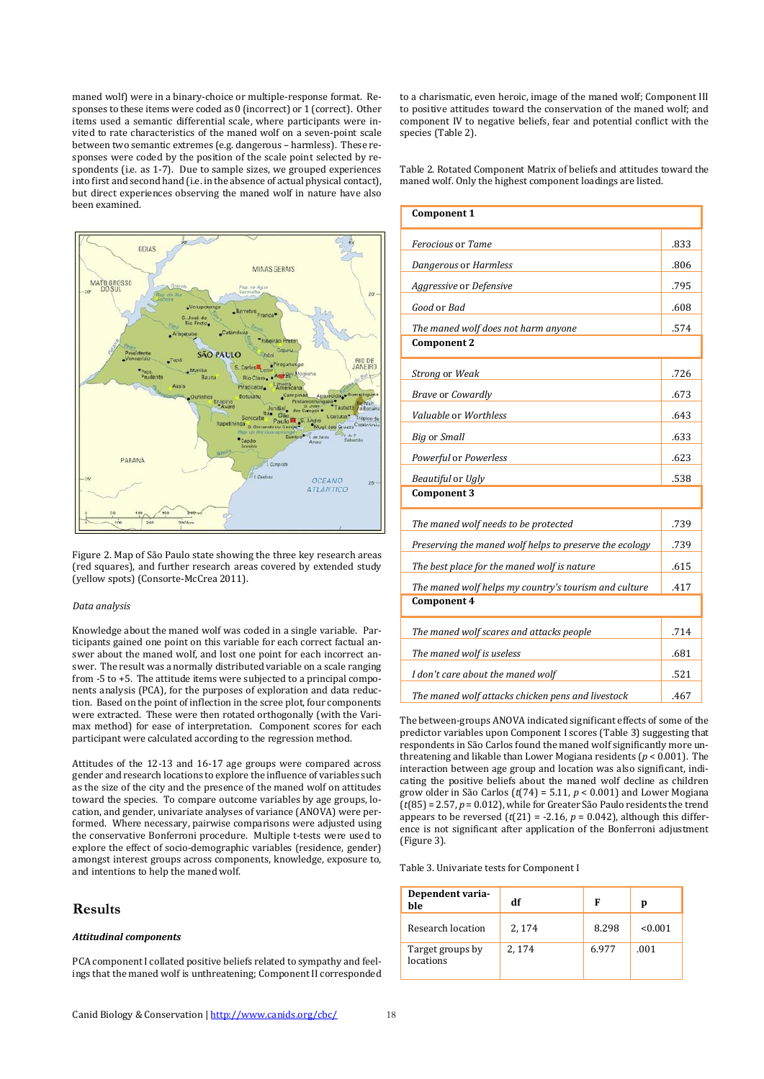maned wolf) were in a binary-choice or multiple-response format. Responses to these items were coded as 0 (incorrect) or 1 (correct). Other items used a semantic differential scale, where participants were invited to rate characteristics of the maned wolf on a seven-point scale between two semantic extremes (e.g. dangerous – harmless). These responses were coded by the position of the scale point selected by respondents (i.e. as 1-7). Due to sample sizes, we grouped experiences into first and second hand (i.e. in the absence of actual physical contact), but direct experiences observing the maned wolf in nature have also been examined.



Figure 2. Map of São Paulo state showing the three key research areas (red squares), and further research areas covered by extended study (yellow spots) (Consorte-McCrea 2011).

#### *Data analysis*

Knowledge about the maned wolf was coded in a single variable. Participants gained one point on this variable for each correct factual answer about the maned wolf, and lost one point for each incorrect answer. The result was a normally distributed variable on a scale ranging from -5 to +5. The attitude items were subjected to a principal components analysis (PCA), for the purposes of exploration and data reduction. Based on the point of inflection in the scree plot, four components were extracted. These were then rotated orthogonally (with the Varimax method) for ease of interpretation. Component scores for each participant were calculated according to the regression method.

Attitudes of the 12-13 and 16-17 age groups were compared across gender and research locations to explore the influence of variables such as the size of the city and the presence of the maned wolf on attitudes toward the species. To compare outcome variables by age groups, location, and gender, univariate analyses of variance (ANOVA) were performed. Where necessary, pairwise comparisons were adjusted using the conservative Bonferroni procedure. Multiple t-tests were used to explore the effect of socio-demographic variables (residence, gender) amongst interest groups across components, knowledge, exposure to, and intentions to help the maned wolf.

### **Results**

#### *Attitudinal components*

PCA component I collated positive beliefs related to sympathy and feelings that the maned wolf is unthreatening; Component II corresponded to a charismatic, even heroic, image of the maned wolf; Component III to positive attitudes toward the conservation of the maned wolf; and component IV to negative beliefs, fear and potential conflict with the species (Table 2).

Table 2. Rotated Component Matrix of beliefs and attitudes toward the maned wolf. Only the highest component loadings are listed.

| Component 1                                             |      |  |  |  |
|---------------------------------------------------------|------|--|--|--|
| Ferocious or Tame                                       |      |  |  |  |
| Dangerous or Harmless                                   |      |  |  |  |
| Aggressive or Defensive                                 | .795 |  |  |  |
| Good or Bad                                             | .608 |  |  |  |
| The maned wolf does not harm anyone                     | .574 |  |  |  |
| <b>Component 2</b>                                      |      |  |  |  |
| Strong or Weak                                          | .726 |  |  |  |
| <b>Brave or Cowardly</b>                                | .673 |  |  |  |
| Valuable or Worthless                                   | .643 |  |  |  |
| <b>Big or Small</b>                                     | .633 |  |  |  |
| Powerful or Powerless                                   | .623 |  |  |  |
| Beautiful or Ugly                                       | .538 |  |  |  |
| <b>Component 3</b>                                      |      |  |  |  |
| The maned wolf needs to be protected                    | .739 |  |  |  |
| Preserving the maned wolf helps to preserve the ecology |      |  |  |  |
| The best place for the maned wolf is nature             |      |  |  |  |
| The maned wolf helps my country's tourism and culture   |      |  |  |  |
| Component 4                                             |      |  |  |  |
| The maned wolf scares and attacks people                | .714 |  |  |  |
| The maned wolf is useless                               |      |  |  |  |
| I don't care about the maned wolf                       | .521 |  |  |  |
| The maned wolf attacks chicken pens and livestock       | .467 |  |  |  |

The between-groups ANOVA indicated significant effects of some of the predictor variables upon Component I scores (Table 3) suggesting that respondents in São Carlos found the maned wolf significantly more unthreatening and likable than Lower Mogiana residents (*p* < 0.001). The interaction between age group and location was also significant, indicating the positive beliefs about the maned wolf decline as children grow older in São Carlos (*t*(74) = 5.11, *p* < 0.001) and Lower Mogiana (*t*(85) = 2.57, *p* = 0.012), while for Greater São Paulo residents the trend appears to be reversed  $(t(21) = -2.16, p = 0.042)$ , although this difference is not significant after application of the Bonferroni adjustment (Figure 3).

Table 3. Univariate tests for Component I

| Dependent varia-<br>ble       | df     | F     | p       |
|-------------------------------|--------|-------|---------|
| Research location             | 2, 174 | 8.298 | < 0.001 |
| Target groups by<br>locations | 2.174  | 6.977 | .001    |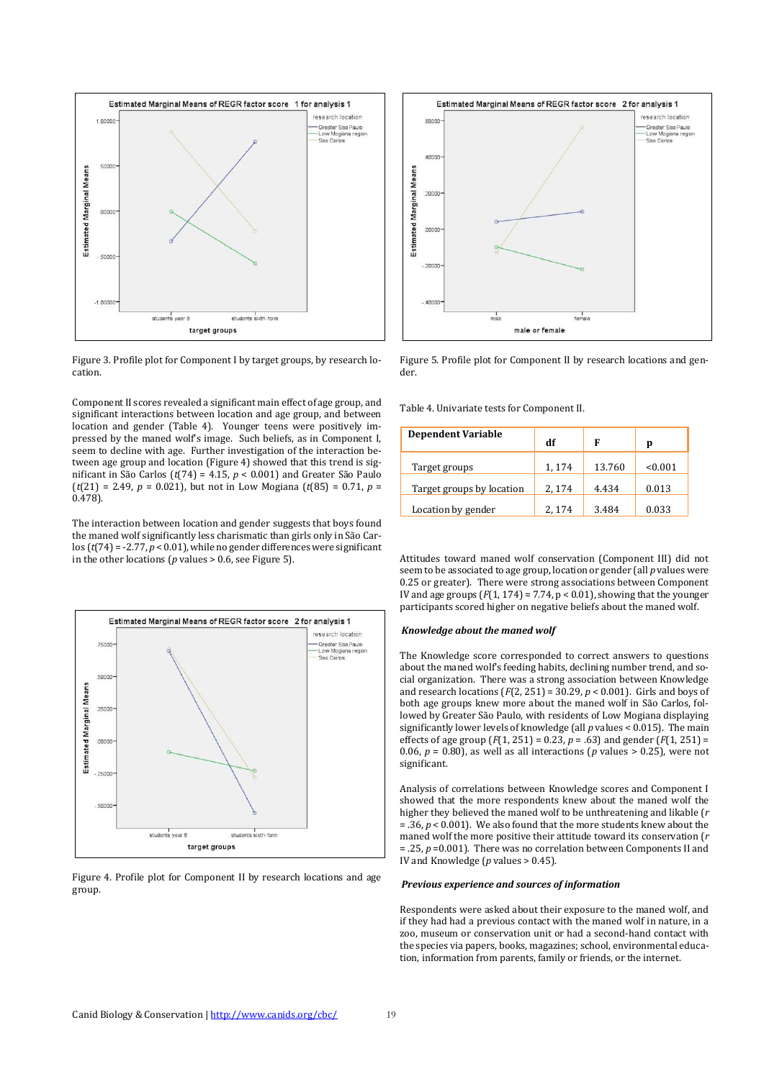



Component II scores revealed a significant main effect of age group, and significant interactions between location and age group, and between location and gender (Table 4). Younger teens were positively impressed by the maned wolf's image. Such beliefs, as in Component I, seem to decline with age. Further investigation of the interaction between age group and location (Figure 4) showed that this trend is significant in São Carlos (*t*(74) = 4.15, *p* < 0.001) and Greater São Paulo  $(t(21) = 2.49, p = 0.021)$ , but not in Low Mogiana  $(t(85) = 0.71, p = 0.021)$ 0.478).

The interaction between location and gender suggests that boys found the maned wolf significantly less charismatic than girls only in São Carlos  $(t(74) = -2.77, p < 0.01)$ , while no gender differences were significant in the other locations (*p* values > 0.6, see Figure 5).







Figure 5. Profile plot for Component II by research locations and gender.

Table 4. Univariate tests for Component II.

| <b>Dependent Variable</b> | df     | F      | p       |
|---------------------------|--------|--------|---------|
| Target groups             | 1, 174 | 13.760 | < 0.001 |
| Target groups by location | 2, 174 | 4.434  | 0.013   |
| Location by gender        | 2, 174 | 3.484  | 0.033   |

Attitudes toward maned wolf conservation (Component III) did not seem to be associated to age group, location or gender (all *p* values were 0.25 or greater). There were strong associations between Component IV and age groups  $(F(1, 174) = 7.74, p < 0.01)$ , showing that the younger participants scored higher on negative beliefs about the maned wolf.

#### *Knowledge about the maned wolf*

The Knowledge score corresponded to correct answers to questions about the maned wolf's feeding habits, declining number trend, and social organization. There was a strong association between Knowledge and research locations (*F*(2, 251) = 30.29, *p* < 0.001). Girls and boys of both age groups knew more about the maned wolf in São Carlos, followed by Greater São Paulo, with residents of Low Mogiana displaying significantly lower levels of knowledge (all *p* values < 0.015). The main effects of age group  $(F(1, 251) = 0.23, p = .63)$  and gender  $(F(1, 251) =$ 0.06,  $p = 0.80$ ), as well as all interactions ( $p$  values  $> 0.25$ ), were not significant.

Analysis of correlations between Knowledge scores and Component I showed that the more respondents knew about the maned wolf the higher they believed the maned wolf to be unthreatening and likable (*r*  $=$  36,  $p \le 0.001$ . We also found that the more students knew about the maned wolf the more positive their attitude toward its conservation (*r* = .25, *p* =0.001). There was no correlation between Components II and IV and Knowledge (*p* values > 0.45).

#### *Previous experience and sources of information*

Respondents were asked about their exposure to the maned wolf, and if they had had a previous contact with the maned wolf in nature, in a zoo, museum or conservation unit or had a second-hand contact with the species via papers, books, magazines; school, environmental education, information from parents, family or friends, or the internet.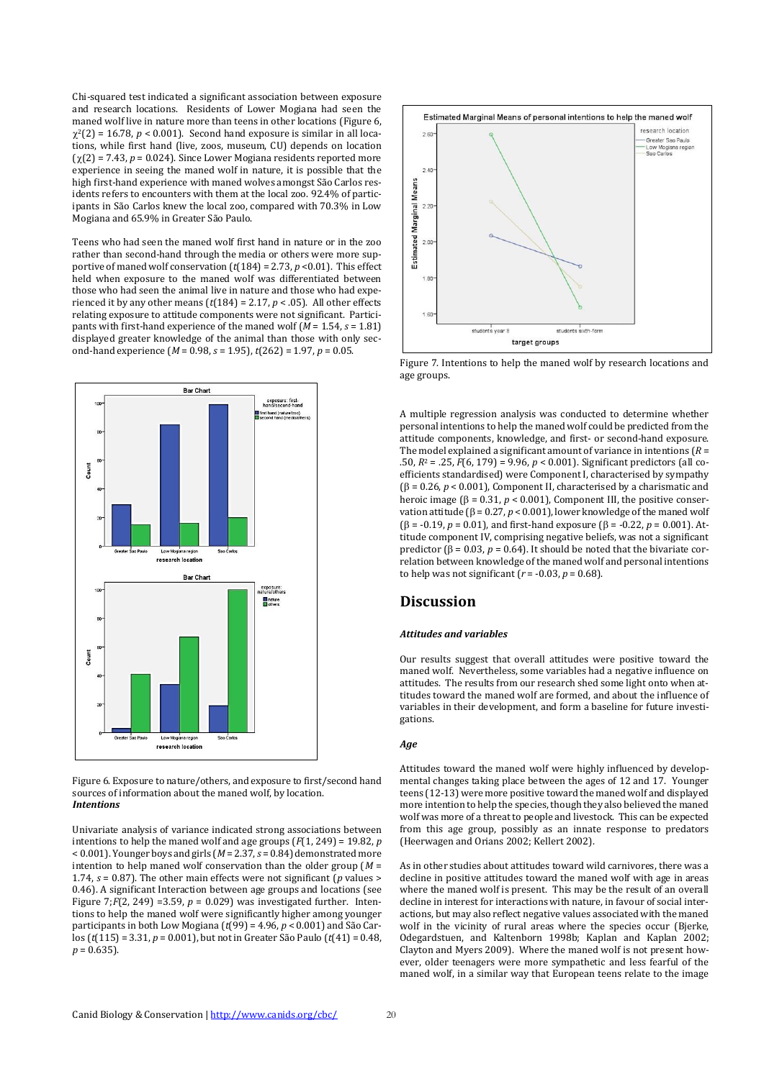Chi-squared test indicated a significant association between exposure and research locations. Residents of Lower Mogiana had seen the maned wolf live in nature more than teens in other locations (Figure 6,  $\chi^2(2) = 16.78$ ,  $p < 0.001$ ). Second hand exposure is similar in all locations, while first hand (live, zoos, museum, CU) depends on location  $(\gamma(2) = 7.43, p = 0.024)$ . Since Lower Mogiana residents reported more experience in seeing the maned wolf in nature, it is possible that the high first-hand experience with maned wolves amongst São Carlos residents refers to encounters with them at the local zoo. 92.4% of participants in São Carlos knew the local zoo, compared with 70.3% in Low Mogiana and 65.9% in Greater São Paulo.

Teens who had seen the maned wolf first hand in nature or in the zoo rather than second-hand through the media or others were more supportive of maned wolf conservation  $(t(184) = 2.73, p < 0.01)$ . This effect held when exposure to the maned wolf was differentiated between those who had seen the animal live in nature and those who had experienced it by any other means  $(t[184] = 2.17, p < .05)$ . All other effects relating exposure to attitude components were not significant. Participants with first-hand experience of the maned wolf (*M* = 1.54, *s* = 1.81) displayed greater knowledge of the animal than those with only second-hand experience (*M* = 0.98, *s* = 1.95), *t*(262) = 1.97, *p* = 0.05.



Figure 6. Exposure to nature/others, and exposure to first/second hand sources of information about the maned wolf, by location. *Intentions*

Univariate analysis of variance indicated strong associations between intentions to help the maned wolf and age groups  $(F(1, 249) = 19.82, p$ < 0.001). Younger boys and girls (*M*= 2.37, *s* = 0.84) demonstrated more intention to help maned wolf conservation than the older group (*M* = 1.74, *s* = 0.87). The other main effects were not significant (*p* values > 0.46). A significant Interaction between age groups and locations (see Figure 7;*F*(2, 249) =3.59, *p* = 0.029) was investigated further. Intentions to help the maned wolf were significantly higher among younger participants in both Low Mogiana (*t*(99) = 4.96, *p* < 0.001) and São Carlos (*t*(115) = 3.31, *p* = 0.001), but not in Greater São Paulo (*t*(41) = 0.48,  $p = 0.635$ .



Figure 7. Intentions to help the maned wolf by research locations and age groups.

A multiple regression analysis was conducted to determine whether personal intentions to help the maned wolf could be predicted from the attitude components, knowledge, and first- or second-hand exposure. The model explained a significant amount of variance in intentions (*R* = .50, *R*<sup>2</sup> = .25, *F*(6, 179) = 9.96, *p* < 0.001). Significant predictors (all coefficients standardised) were Component I, characterised by sympathy ( $\beta$  = 0.26,  $p$  < 0.001), Component II, characterised by a charismatic and heroic image ( $\beta$  = 0.31,  $p$  < 0.001), Component III, the positive conservation attitude ( $\beta$  = 0.27,  $p$  < 0.001), lower knowledge of the maned wolf  $(\beta = -0.19, p = 0.01)$ , and first-hand exposure  $(\beta = -0.22, p = 0.001)$ . Attitude component IV, comprising negative beliefs, was not a significant predictor ( $\beta$  = 0.03,  $p$  = 0.64). It should be noted that the bivariate correlation between knowledge of the maned wolf and personal intentions to help was not significant  $(r = -0.03, p = 0.68)$ .

# **Discussion**

#### *Attitudes and variables*

Our results suggest that overall attitudes were positive toward the maned wolf. Nevertheless, some variables had a negative influence on attitudes. The results from our research shed some light onto when attitudes toward the maned wolf are formed, and about the influence of variables in their development, and form a baseline for future investigations.

#### *Age*

Attitudes toward the maned wolf were highly influenced by developmental changes taking place between the ages of 12 and 17. Younger teens (12-13) were more positive toward the maned wolf and displayed more intention to help the species, though they also believed the maned wolf was more of a threat to people and livestock. This can be expected from this age group, possibly as an innate response to predators (Heerwagen and Orians 2002; Kellert 2002).

As in other studies about attitudes toward wild carnivores, there was a decline in positive attitudes toward the maned wolf with age in areas where the maned wolf is present. This may be the result of an overall decline in interest for interactions with nature, in favour of social interactions, but may also reflect negative values associated with the maned wolf in the vicinity of rural areas where the species occur (Bierke, Odegardstuen, and Kaltenborn 1998b; Kaplan and Kaplan 2002; Clayton and Myers 2009). Where the maned wolf is not present however, older teenagers were more sympathetic and less fearful of the maned wolf, in a similar way that European teens relate to the image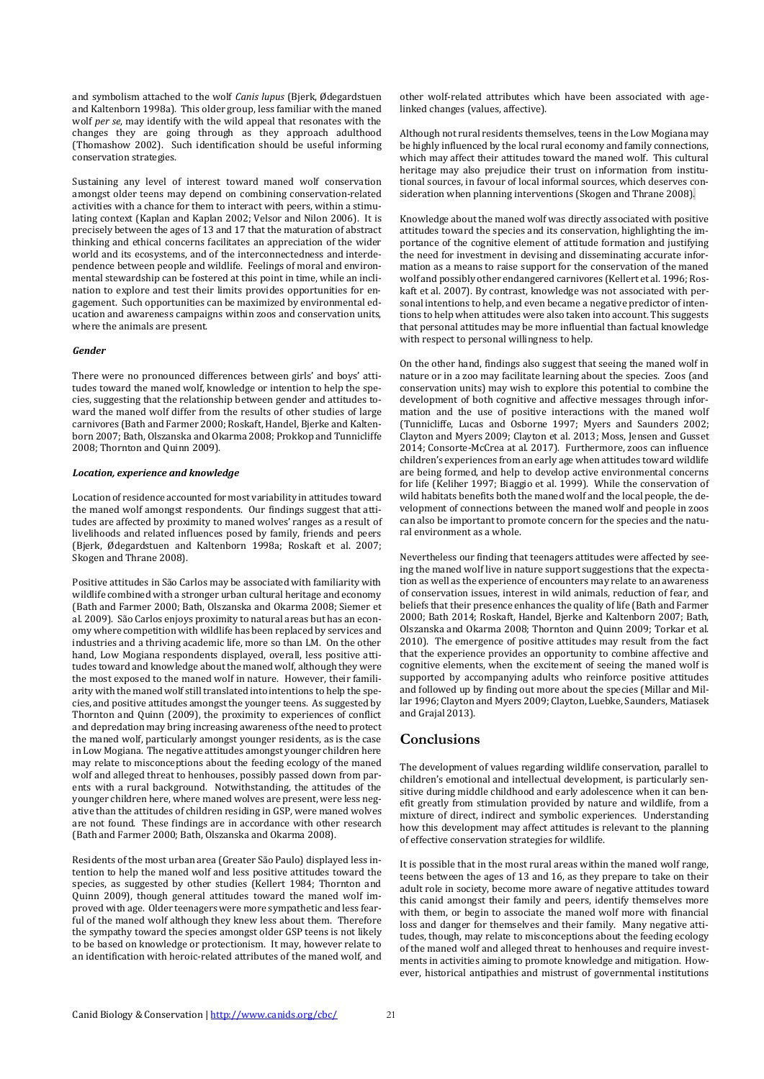and symbolism attached to the wolf *Canis lupus* (Bjerk, Ødegardstuen and Kaltenborn 1998a). This older group, less familiar with the maned wolf *per se*, may identify with the wild appeal that resonates with the changes they are going through as they approach adulthood (Thomashow 2002). Such identification should be useful informing conservation strategies.

Sustaining any level of interest toward maned wolf conservation amongst older teens may depend on combining conservation-related activities with a chance for them to interact with peers, within a stimulating context (Kaplan and Kaplan 2002; Velsor and Nilon 2006). It is precisely between the ages of 13 and 17 that the maturation of abstract thinking and ethical concerns facilitates an appreciation of the wider world and its ecosystems, and of the interconnectedness and interdependence between people and wildlife. Feelings of moral and environmental stewardship can be fostered at this point in time, while an inclination to explore and test their limits provides opportunities for engagement. Such opportunities can be maximized by environmental education and awareness campaigns within zoos and conservation units, where the animals are present.

#### *Gender*

There were no pronounced differences between girls' and boys' attitudes toward the maned wolf, knowledge or intention to help the species, suggesting that the relationship between gender and attitudes toward the maned wolf differ from the results of other studies of large carnivores (Bath and Farmer 2000; Roskaft, Handel, Bjerke and Kaltenborn 2007; Bath, Olszanska and Okarma 2008; Prokkop and Tunnicliffe 2008; Thornton and Quinn 2009).

#### *Location, experience and knowledge*

Location of residence accounted for most variability in attitudes toward the maned wolf amongst respondents. Our findings suggest that attitudes are affected by proximity to maned wolves' ranges as a result of livelihoods and related influences posed by family, friends and peers (Bjerk, Ødegardstuen and Kaltenborn 1998a; Roskaft et al. 2007; Skogen and Thrane 2008).

Positive attitudes in São Carlos may be associated with familiarity with wildlife combined with a stronger urban cultural heritage and economy (Bath and Farmer 2000; Bath, Olszanska and Okarma 2008; Siemer et al. 2009). São Carlos enjoys proximity to natural areas but has an economy where competition with wildlife has been replaced by services and industries and a thriving academic life, more so than LM. On the other hand, Low Mogiana respondents displayed, overall, less positive attitudes toward and knowledge about the maned wolf, although they were the most exposed to the maned wolf in nature. However, their familiarity with the maned wolf still translated into intentions to help the species, and positive attitudes amongst the younger teens. As suggested by Thornton and Quinn (2009), the proximity to experiences of conflict and depredation may bring increasing awareness of the need to protect the maned wolf, particularly amongst younger residents, as is the case in Low Mogiana. The negative attitudes amongst younger children here may relate to misconceptions about the feeding ecology of the maned wolf and alleged threat to henhouses, possibly passed down from parents with a rural background. Notwithstanding, the attitudes of the younger children here, where maned wolves are present, were less negative than the attitudes of children residing in GSP, were maned wolves are not found. These findings are in accordance with other research (Bath and Farmer 2000; Bath, Olszanska and Okarma 2008).

Residents of the most urban area (Greater São Paulo) displayed less intention to help the maned wolf and less positive attitudes toward the species, as suggested by other studies (Kellert 1984; Thornton and Quinn 2009), though general attitudes toward the maned wolf improved with age. Older teenagers were more sympathetic and less fearful of the maned wolf although they knew less about them. Therefore the sympathy toward the species amongst older GSP teens is not likely to be based on knowledge or protectionism. It may, however relate to an identification with heroic-related attributes of the maned wolf, and other wolf-related attributes which have been associated with agelinked changes (values, affective).

Although not rural residents themselves, teens in the Low Mogiana may be highly influenced by the local rural economy and family connections, which may affect their attitudes toward the maned wolf. This cultural heritage may also prejudice their trust on information from institutional sources, in favour of local informal sources, which deserves consideration when planning interventions (Skogen and Thrane 2008).

Knowledge about the maned wolf was directly associated with positive attitudes toward the species and its conservation, highlighting the importance of the cognitive element of attitude formation and justifying the need for investment in devising and disseminating accurate information as a means to raise support for the conservation of the maned wolf and possibly other endangered carnivores (Kellert et al. 1996; Roskaft et al. 2007). By contrast, knowledge was not associated with personal intentions to help, and even became a negative predictor of intentions to help when attitudes were also taken into account. This suggests that personal attitudes may be more influential than factual knowledge with respect to personal willingness to help.

On the other hand, findings also suggest that seeing the maned wolf in nature or in a zoo may facilitate learning about the species. Zoos (and conservation units) may wish to explore this potential to combine the development of both cognitive and affective messages through information and the use of positive interactions with the maned wolf (Tunnicliffe, Lucas and Osborne 1997; Myers and Saunders 2002; Clayton and Myers 2009; Clayton et al. 2013; Moss, Jensen and Gusset 2014; Consorte-McCrea at al. 2017). Furthermore, zoos can influence children's experiences from an early age when attitudes toward wildlife are being formed, and help to develop active environmental concerns for life (Keliher 1997; Biaggio et al. 1999). While the conservation of wild habitats benefits both the maned wolf and the local people, the development of connections between the maned wolf and people in zoos can also be important to promote concern for the species and the natural environment as a whole.

Nevertheless our finding that teenagers attitudes were affected by seeing the maned wolf live in nature support suggestions that the expectation as well as the experience of encounters may relate to an awareness of conservation issues, interest in wild animals, reduction of fear, and beliefs that their presence enhances the quality of life (Bath and Farmer 2000; Bath 2014; Roskaft, Handel, Bjerke and Kaltenborn 2007; Bath, Olszanska and Okarma 2008; Thornton and Quinn 2009; Torkar et al. 2010). The emergence of positive attitudes may result from the fact that the experience provides an opportunity to combine affective and cognitive elements, when the excitement of seeing the maned wolf is supported by accompanying adults who reinforce positive attitudes and followed up by finding out more about the species (Millar and Millar 1996; Clayton and Myers 2009; Clayton, Luebke, Saunders, Matiasek and Grajal 2013).

### **Conclusions**

The development of values regarding wildlife conservation, parallel to children's emotional and intellectual development, is particularly sensitive during middle childhood and early adolescence when it can benefit greatly from stimulation provided by nature and wildlife, from a mixture of direct, indirect and symbolic experiences. Understanding how this development may affect attitudes is relevant to the planning of effective conservation strategies for wildlife.

It is possible that in the most rural areas within the maned wolf range, teens between the ages of 13 and 16, as they prepare to take on their adult role in society, become more aware of negative attitudes toward this canid amongst their family and peers, identify themselves more with them, or begin to associate the maned wolf more with financial loss and danger for themselves and their family. Many negative attitudes, though, may relate to misconceptions about the feeding ecology of the maned wolf and alleged threat to henhouses and require investments in activities aiming to promote knowledge and mitigation. However, historical antipathies and mistrust of governmental institutions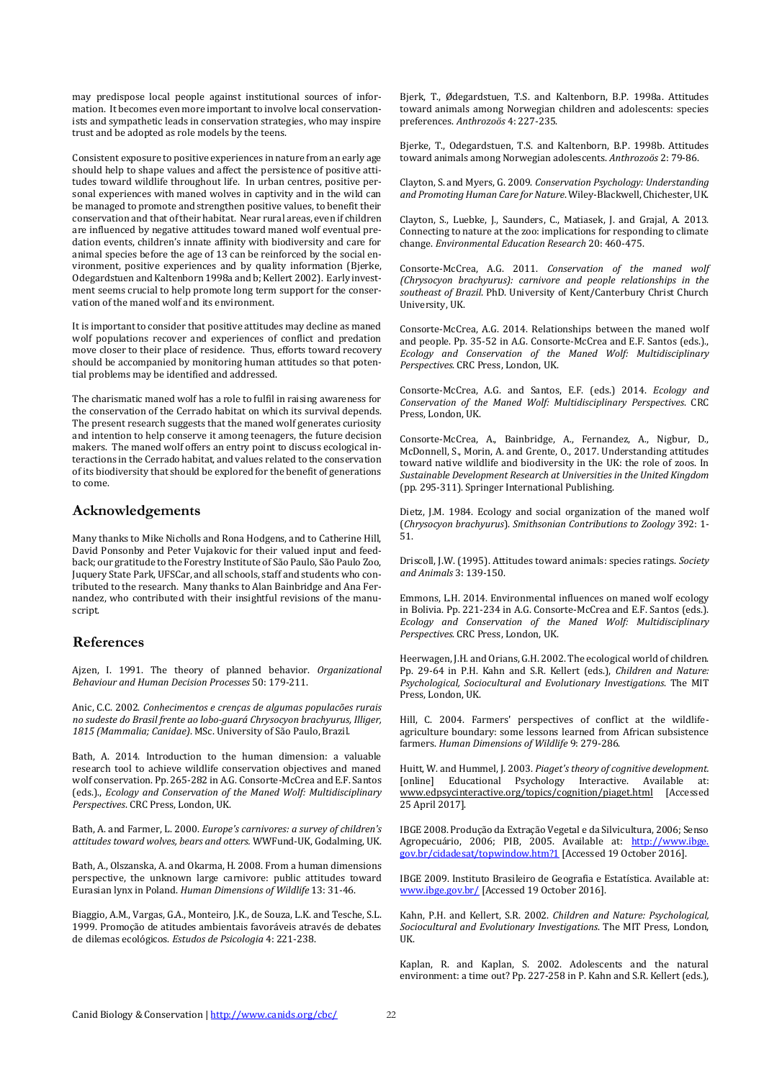may predispose local people against institutional sources of information. It becomes even more important to involve local conservationists and sympathetic leads in conservation strategies, who may inspire trust and be adopted as role models by the teens.

Consistent exposure to positive experiences in nature from an early age should help to shape values and affect the persistence of positive attitudes toward wildlife throughout life. In urban centres, positive personal experiences with maned wolves in captivity and in the wild can be managed to promote and strengthen positive values, to benefit their conservation and that of their habitat. Near rural areas, even if children are influenced by negative attitudes toward maned wolf eventual predation events, children's innate affinity with biodiversity and care for animal species before the age of 13 can be reinforced by the social environment, positive experiences and by quality information (Bjerke, Odegardstuen and Kaltenborn 1998a and b; Kellert 2002). Early investment seems crucial to help promote long term support for the conservation of the maned wolf and its environment.

It is important to consider that positive attitudes may decline as maned wolf populations recover and experiences of conflict and predation move closer to their place of residence. Thus, efforts toward recovery should be accompanied by monitoring human attitudes so that potential problems may be identified and addressed.

The charismatic maned wolf has a role to fulfil in raising awareness for the conservation of the Cerrado habitat on which its survival depends. The present research suggests that the maned wolf generates curiosity and intention to help conserve it among teenagers, the future decision makers. The maned wolf offers an entry point to discuss ecological interactions in the Cerrado habitat, and values related to the conservation of its biodiversity that should be explored for the benefit of generations to come.

### **Acknowledgements**

Many thanks to Mike Nicholls and Rona Hodgens, and to Catherine Hill, David Ponsonby and Peter Vujakovic for their valued input and feedback; our gratitude to the Forestry Institute of São Paulo, São Paulo Zoo, Juquery State Park, UFSCar, and all schools, staff and students who contributed to the research. Many thanks to Alan Bainbridge and Ana Fernandez, who contributed with their insightful revisions of the manuscript.

## **References**

Ajzen, I. 1991. The theory of planned behavior. *Organizational Behaviour and Human Decision Processes* 50: 179-211.

Anic, C.C. 2002. *Conhecimentos e crenças de algumas populacões rurais no sudeste do Brasil frente ao lobo-guará Chrysocyon brachyurus, Illiger, 1815 (Mammalia; Canidae)*. MSc. University of São Paulo, Brazil.

Bath, A. 2014. Introduction to the human dimension: a valuable research tool to achieve wildlife conservation objectives and maned wolf conservation. Pp. 265-282 in A.G. Consorte-McCrea and E.F. Santos (eds.)., *Ecology and Conservation of the Maned Wolf: Multidisciplinary Perspectives*. CRC Press, London, UK.

Bath, A. and Farmer, L. 2000. *Europe's carnivores: a survey of children's attitudes toward wolves, bears and otters.* WWFund-UK, Godalming, UK.

Bath, A., Olszanska, A. and Okarma, H. 2008. From a human dimensions perspective, the unknown large carnivore: public attitudes toward Eurasian lynx in Poland. *Human Dimensions of Wildlife* 13: 31-46.

Biaggio, A.M., Vargas, G.A., Monteiro, J.K., de Souza, L.K. and Tesche, S.L. 1999. Promoção de atitudes ambientais favoráveis através de debates de dilemas ecológicos. *Estudos de Psicologia* 4: 221-238.

Bjerk, T., Ødegardstuen, T.S. and Kaltenborn, B.P. 1998a. Attitudes toward animals among Norwegian children and adolescents: species preferences. *Anthrozoös* 4: 227-235.

Bjerke, T., Odegardstuen, T.S. and Kaltenborn, B.P. 1998b. Attitudes toward animals among Norwegian adolescents. *Anthrozoös* 2: 79-86.

Clayton, S. and Myers, G. 2009. *Conservation Psychology: Understanding and Promoting Human Care for Nature*. Wiley-Blackwell, Chichester, UK.

Clayton, S., Luebke, J., Saunders, C., Matiasek, J. and Grajal, A. 2013. Connecting to nature at the zoo: implications for responding to climate change. *Environmental Education Research* 20: 460-475.

Consorte-McCrea, A.G. 2011. *Conservation of the maned wolf (Chrysocyon brachyurus): carnivore and people relationships in the southeast of Brazil*. PhD. University of Kent/Canterbury Christ Church University, UK.

Consorte-McCrea, A.G. 2014. Relationships between the maned wolf and people. Pp. 35-52 in A.G. Consorte-McCrea and E.F. Santos (eds.)., *Ecology and Conservation of the Maned Wolf: Multidisciplinary Perspectives*. CRC Press, London, UK.

Consorte-McCrea, A.G. and Santos, E.F. (eds.) 2014. *Ecology and Conservation of the Maned Wolf: Multidisciplinary Perspectives*. CRC Press, London, UK.

Consorte-McCrea, A., Bainbridge, A., Fernandez, A., Nigbur, D., McDonnell, S., Morin, A. and Grente, O., 2017. Understanding attitudes toward native wildlife and biodiversity in the UK: the role of zoos. In *Sustainable Development Research at Universities in the United Kingdom* (pp. 295-311). Springer International Publishing.

Dietz, J.M. 1984. Ecology and social organization of the maned wolf (*Chrysocyon brachyurus*). *Smithsonian Contributions to Zoology* 392: 1- 51.

Driscoll, J.W. (1995). Attitudes toward animals: species ratings. *Society and Animals* 3: 139-150.

Emmons, L.H. 2014. Environmental influences on maned wolf ecology in Bolivia. Pp. 221-234 in A.G. Consorte-McCrea and E.F. Santos (eds.). *Ecology and Conservation of the Maned Wolf: Multidisciplinary Perspectives*. CRC Press, London, UK.

Heerwagen, J.H. and Orians, G.H. 2002. The ecological world of children. Pp. 29-64 in P.H. Kahn and S.R. Kellert (eds.), *Children and Nature: Psychological, Sociocultural and Evolutionary Investigations*. The MIT Press, London, UK.

Hill, C. 2004. Farmers' perspectives of conflict at the wildlifeagriculture boundary: some lessons learned from African subsistence farmers. *Human Dimensions of Wildlife* 9: 279-286.

Huitt, W. and Hummel, J. 2003. *Piaget's theory of cognitive development.* [online] Educational Psychology Interactive. Available at: [www.edpsycinteractive.org/topics/cognition/piaget.html](http://www.edpsycinteractive.org/topics/cognition/piaget.html) [Accessed 25 April 2017].

IBGE 2008. Produção da Extração Vegetal e da Silvicultura, 2006; Senso Agropecuário, 2006; PIB, 2005. Available at: [http://www.ibge.](http://www.ibge.gov.br/cidadesat/topwindow.htm?1) [gov.br/cidadesat/topwindow.htm?1](http://www.ibge.gov.br/cidadesat/topwindow.htm?1) [Accessed 19 October 2016].

IBGE 2009. Instituto Brasileiro de Geografia e Estatística. Available at: [www.ibge.gov.br/](http://www.ibge.gov.br/) [Accessed 19 October 2016].

Kahn, P.H. and Kellert, S.R. 2002. *Children and Nature: Psychological, Sociocultural and Evolutionary Investigations*. The MIT Press, London, **IIK** 

Kaplan, R. and Kaplan, S. 2002. Adolescents and the natural environment: a time out? Pp. 227-258 in P. Kahn and S.R. Kellert (eds.),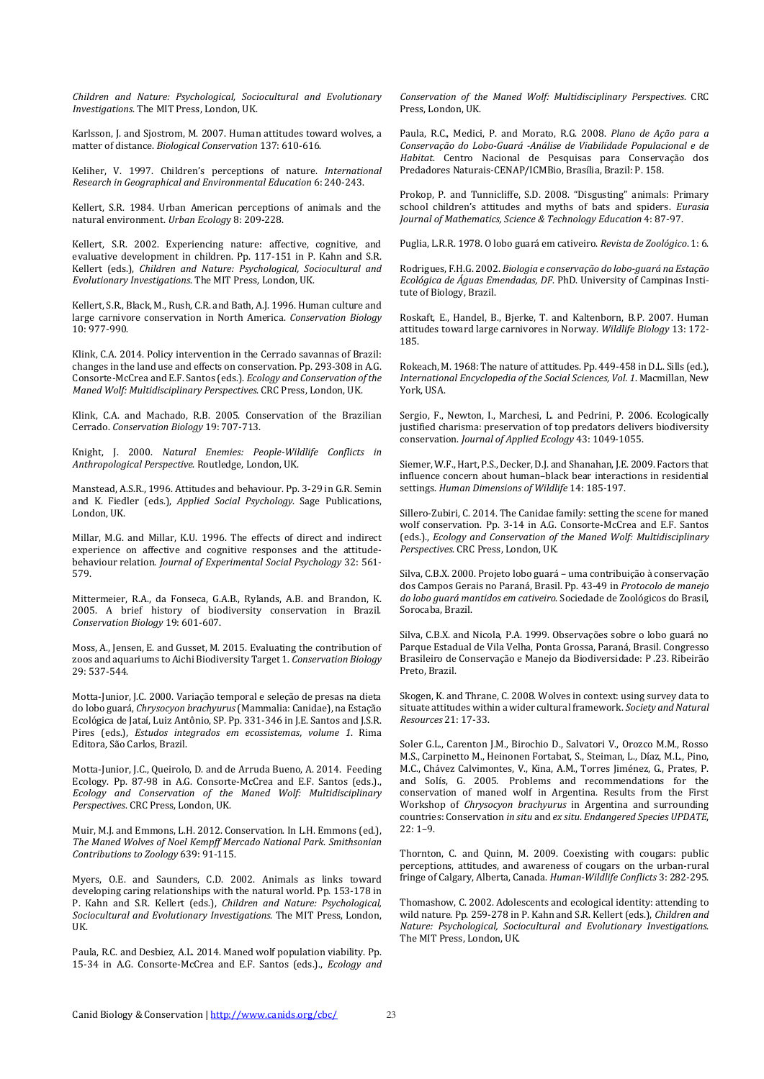*Children and Nature: Psychological, Sociocultural and Evolutionary Investigations*. The MIT Press, London, UK.

Karlsson, J. and Sjostrom, M. 2007. Human attitudes toward wolves, a matter of distance. *Biological Conservation* 137: 610-616.

Keliher, V. 1997. Children's perceptions of nature. *International Research in Geographical and Environmental Education* 6: 240-243.

Kellert, S.R. 1984. Urban American perceptions of animals and the natural environment. *Urban Ecolog*y 8: 209-228.

Kellert, S.R. 2002. Experiencing nature: affective, cognitive, and evaluative development in children. Pp. 117-151 in P. Kahn and S.R. Kellert (eds.), *Children and Nature: Psychological, Sociocultural and Evolutionary Investigations*. The MIT Press, London, UK.

Kellert, S.R., Black, M., Rush, C.R. and Bath, A.J. 1996. Human culture and large carnivore conservation in North America. *Conservation Biology* 10: 977-990.

Klink, C.A. 2014. Policy intervention in the Cerrado savannas of Brazil: changes in the land use and effects on conservation. Pp. 293-308 in A.G. Consorte-McCrea and E.F. Santos (eds.). *Ecology and Conservation of the Maned Wolf: Multidisciplinary Perspectives*. CRC Press, London, UK.

Klink, C.A. and Machado, R.B. 2005. Conservation of the Brazilian Cerrado. *Conservation Biology* 19: 707-713.

Knight, J. 2000. *Natural Enemies: People-Wildlife Conflicts in Anthropological Perspective*. Routledge, London, UK.

Manstead, A.S.R., 1996. Attitudes and behaviour. Pp. 3-29 in G.R. Semin and K. Fiedler (eds.), *Applied Social Psychology*. Sage Publications, London, UK.

Millar, M.G. and Millar, K.U. 1996. The effects of direct and indirect experience on affective and cognitive responses and the attitudebehaviour relation. *Journal of Experimental Social Psychology* 32: 561- 579.

Mittermeier, R.A., da Fonseca, G.A.B., Rylands, A.B. and Brandon, K. 2005. A brief history of biodiversity conservation in Brazil. *Conservation Biology* 19: 601-607.

Moss, A., Jensen, E. and Gusset, M. 2015. Evaluating the contribution of zoos and aquariums to Aichi Biodiversity Target 1. *Conservation Biology* 29: 537-544.

Motta-Junior, J.C. 2000. Variação temporal e seleção de presas na dieta do lobo guará, *Chrysocyon brachyurus* (Mammalia: Canidae), na Estação Ecológica de Jataí, Luiz Antônio, SP. Pp. 331-346 in J.E. Santos and J.S.R. Pires (eds.), *Estudos integrados em ecossistemas, volume 1*. Rima Editora, São Carlos, Brazil.

Motta-Junior, J.C., Queirolo, D. and de Arruda Bueno, A. 2014. Feeding Ecology. Pp. 87-98 in A.G. Consorte-McCrea and E.F. Santos (eds.). *Ecology and Conservation of the Maned Wolf: Multidisciplinary Perspectives*. CRC Press, London, UK.

Muir, M.J. and Emmons, L.H. 2012. Conservation. In L.H. Emmons (ed.), *The Maned Wolves of Noel Kempff Mercado National Park*. *Smithsonian Contributions to Zoology* 639: 91-115.

Myers, O.E. and Saunders, C.D. 2002. Animals as links toward developing caring relationships with the natural world. Pp. 153-178 in P. Kahn and S.R. Kellert (eds.), *Children and Nature: Psychological, Sociocultural and Evolutionary Investigations*. The MIT Press, London, UK.

Paula, R.C. and Desbiez, A.L. 2014. Maned wolf population viability. Pp. 15-34 in A.G. Consorte-McCrea and E.F. Santos (eds.)., *Ecology and*  *Conservation of the Maned Wolf: Multidisciplinary Perspectives*. CRC Press, London, UK.

Paula, R.C., Medici, P. and Morato, R.G. 2008. *Plano de Ação para a Conservação do Lobo-Guará -Análise de Viabilidade Populacional e de Habitat*. Centro Nacional de Pesquisas para Conservação dos Predadores Naturais-CENAP/ICMBio, Brasília, Brazil: P. 158.

Prokop, P. and Tunnicliffe, S.D. 2008. "Disgusting" animals: Primary school children's attitudes and myths of bats and spiders. *Eurasia Journal of Mathematics, Science & Technology Education* 4: 87-97.

Puglia, L.R.R. 1978. O lobo guará em cativeiro. *Revista de Zoológico*. 1: 6.

Rodrigues, F.H.G. 2002. *Biologia e conservação do lobo-guará na Estação Ecológica de Águas Emendadas, DF*. PhD. University of Campinas Institute of Biology, Brazil.

Roskaft, E., Handel, B., Bjerke, T. and Kaltenborn, B.P. 2007. Human attitudes toward large carnivores in Norway. *Wildlife Biology* 13: 172- 185.

Rokeach, M. 1968: The nature of attitudes. Pp. 449-458 in D.L. Sills (ed.), *International Encyclopedia of the Social Sciences, Vol. 1*. Macmillan, New York, USA.

Sergio, F., Newton, I., Marchesi, L. and Pedrini, P. 2006. Ecologically justified charisma: preservation of top predators delivers biodiversity conservation. *Journal of Applied Ecology* 43: 1049-1055.

Siemer, W.F., Hart, P.S., Decker, D.J. and Shanahan, J.E. 2009. Factors that influence concern about human–black bear interactions in residential settings. *Human Dimensions of Wildlife* 14: 185-197.

Sillero-Zubiri, C. 2014. The Canidae family: setting the scene for maned wolf conservation. Pp. 3-14 in A.G. Consorte-McCrea and E.F. Santos (eds.)., *Ecology and Conservation of the Maned Wolf: Multidisciplinary Perspectives*. CRC Press, London, UK.

Silva, C.B.X. 2000. Projeto lobo guará – uma contribuição à conservação dos Campos Gerais no Paraná, Brasil. Pp. 43-49 in *Protocolo de manejo do lobo guará mantidos em cativeiro*. Sociedade de Zoológicos do Brasil, Sorocaba, Brazil.

Silva, C.B.X. and Nicola, P.A. 1999. Observações sobre o lobo guará no Parque Estadual de Vila Velha, Ponta Grossa, Paraná, Brasil. Congresso Brasileiro de Conservação e Manejo da Biodiversidade: P .23. Ribeirão Preto, Brazil.

Skogen, K. and Thrane, C. 2008. Wolves in context: using survey data to situate attitudes within a wider cultural framework. *Society and Natural Resources* 21: 17-33.

Soler G.L., Carenton J.M., Birochio D., Salvatori V., Orozco M.M., Rosso M.S., Carpinetto M., Heinonen Fortabat, S., Steiman, L., Díaz, M.L., Pino, M.C., Chávez Calvimontes, V., Kina, A.M., Torres Jiménez, G., Prates, P. and Solís, G. 2005. Problems and recommendations for the conservation of maned wolf in Argentina. Results from the First Workshop of *Chrysocyon brachyurus* in Argentina and surrounding countries: Conservation *in situ* and *ex situ*. *Endangered Species UPDATE*,  $22 \cdot 1 - 9$ 

Thornton, C. and Quinn, M. 2009. Coexisting with cougars: public perceptions, attitudes, and awareness of cougars on the urban-rural fringe of Calgary, Alberta, Canada. *Human-Wildlife Conflicts* 3: 282-295.

Thomashow, C. 2002. Adolescents and ecological identity: attending to wild nature. Pp. 259-278 in P. Kahn and S.R. Kellert (eds.), *Children and Nature: Psychological, Sociocultural and Evolutionary Investigations*. The MIT Press, London, UK.